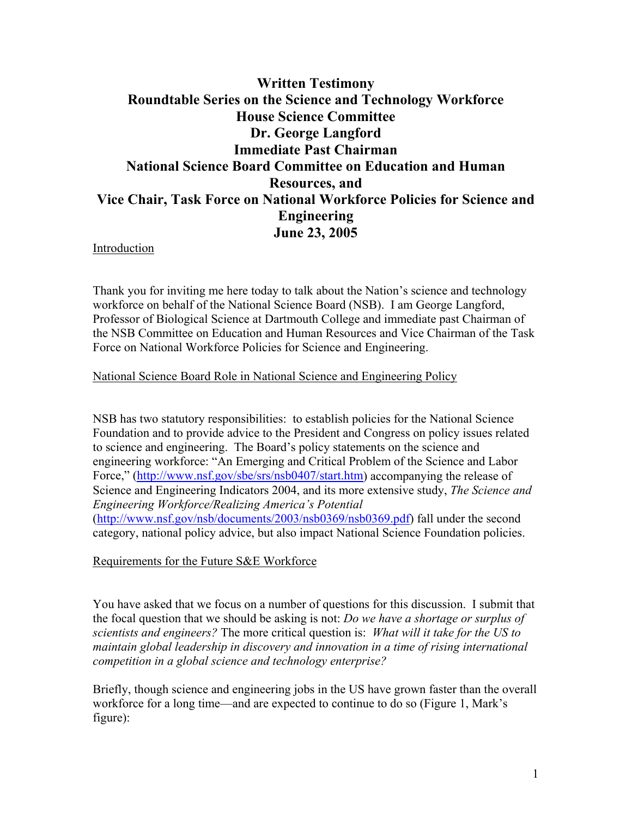## **Written Testimony Roundtable Series on the Science and Technology Workforce House Science Committee Dr. George Langford Immediate Past Chairman National Science Board Committee on Education and Human Resources, and Vice Chair, Task Force on National Workforce Policies for Science and Engineering June 23, 2005**

Introduction

Thank you for inviting me here today to talk about the Nation's science and technology workforce on behalf of the National Science Board (NSB). I am George Langford, Professor of Biological Science at Dartmouth College and immediate past Chairman of the NSB Committee on Education and Human Resources and Vice Chairman of the Task Force on National Workforce Policies for Science and Engineering.

#### National Science Board Role in National Science and Engineering Policy

NSB has two statutory responsibilities: to establish policies for the National Science Foundation and to provide advice to the President and Congress on policy issues related to science and engineering. The Board's policy statements on the science and engineering workforce: "An Emerging and Critical Problem of the Science and Labor Force," ([http://www.nsf.gov/sbe/srs/nsb0407/start.htm\)](http://www.nsf.gov/sbe/srs/nsb0407/start.htm) accompanying the release of Science and Engineering Indicators 2004, and its more extensive study, *The Science and Engineering Workforce/Realizing America's Potential* (<http://www.nsf.gov/nsb/documents/2003/nsb0369/nsb0369.pdf>) fall under the second category, national policy advice, but also impact National Science Foundation policies.

Requirements for the Future S&E Workforce

You have asked that we focus on a number of questions for this discussion. I submit that the focal question that we should be asking is not: *Do we have a shortage or surplus of scientists and engineers?* The more critical question is: *What will it take for the US to maintain global leadership in discovery and innovation in a time of rising international competition in a global science and technology enterprise?* 

Briefly, though science and engineering jobs in the US have grown faster than the overall workforce for a long time—and are expected to continue to do so (Figure 1, Mark's figure):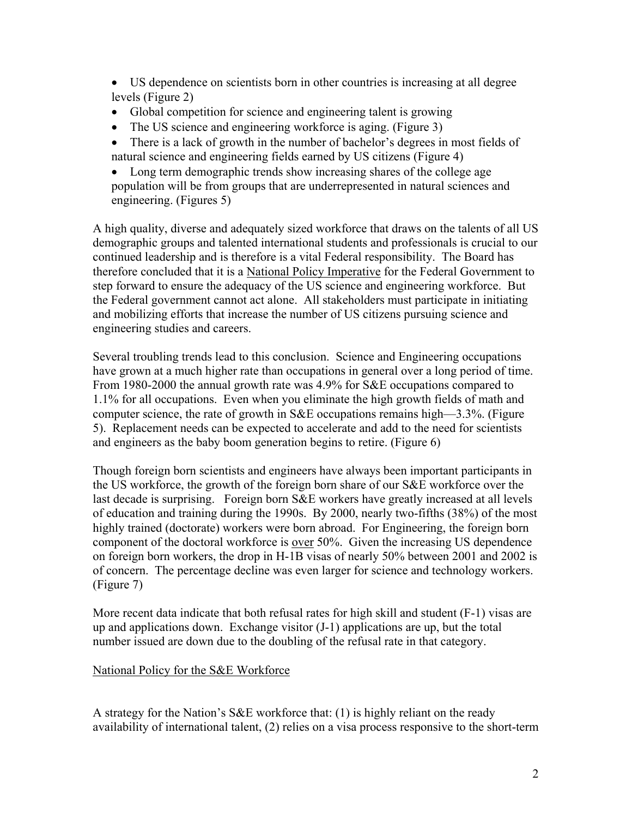- US dependence on scientists born in other countries is increasing at all degree levels (Figure 2)
- Global competition for science and engineering talent is growing
- The US science and engineering workforce is aging. (Figure 3)
- There is a lack of growth in the number of bachelor's degrees in most fields of natural science and engineering fields earned by US citizens (Figure 4)

• Long term demographic trends show increasing shares of the college age population will be from groups that are underrepresented in natural sciences and engineering. (Figures 5)

A high quality, diverse and adequately sized workforce that draws on the talents of all US demographic groups and talented international students and professionals is crucial to our continued leadership and is therefore is a vital Federal responsibility. The Board has therefore concluded that it is a National Policy Imperative for the Federal Government to step forward to ensure the adequacy of the US science and engineering workforce. But the Federal government cannot act alone. All stakeholders must participate in initiating and mobilizing efforts that increase the number of US citizens pursuing science and engineering studies and careers.

Several troubling trends lead to this conclusion. Science and Engineering occupations have grown at a much higher rate than occupations in general over a long period of time. From 1980-2000 the annual growth rate was 4.9% for S&E occupations compared to 1.1% for all occupations. Even when you eliminate the high growth fields of math and computer science, the rate of growth in S&E occupations remains high—3.3%. (Figure 5). Replacement needs can be expected to accelerate and add to the need for scientists and engineers as the baby boom generation begins to retire. (Figure 6)

Though foreign born scientists and engineers have always been important participants in the US workforce, the growth of the foreign born share of our S&E workforce over the last decade is surprising. Foreign born S&E workers have greatly increased at all levels of education and training during the 1990s. By 2000, nearly two-fifths (38%) of the most highly trained (doctorate) workers were born abroad. For Engineering, the foreign born component of the doctoral workforce is over 50%. Given the increasing US dependence on foreign born workers, the drop in H-1B visas of nearly 50% between 2001 and 2002 is of concern. The percentage decline was even larger for science and technology workers. (Figure 7)

More recent data indicate that both refusal rates for high skill and student (F-1) visas are up and applications down. Exchange visitor (J-1) applications are up, but the total number issued are down due to the doubling of the refusal rate in that category.

## National Policy for the S&E Workforce

A strategy for the Nation's S&E workforce that: (1) is highly reliant on the ready availability of international talent, (2) relies on a visa process responsive to the short-term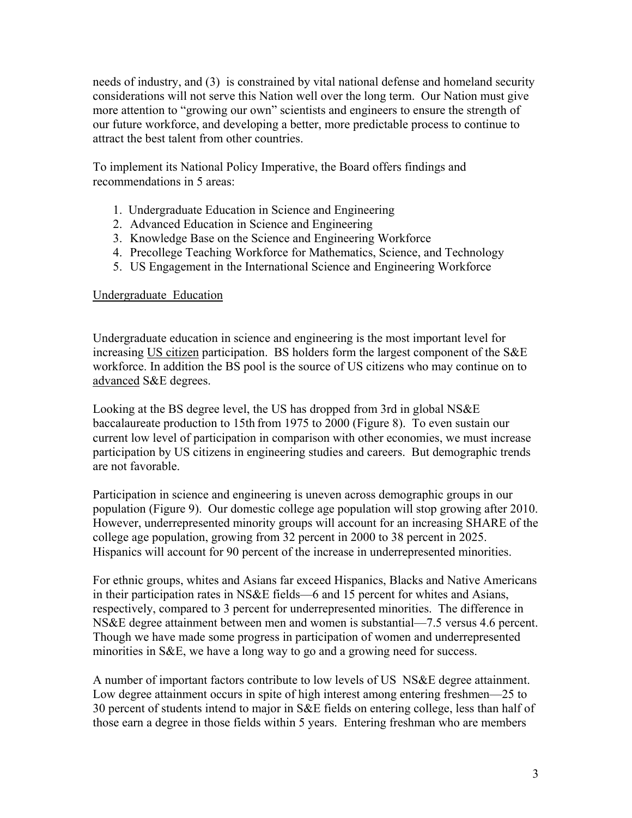needs of industry, and (3) is constrained by vital national defense and homeland security considerations will not serve this Nation well over the long term. Our Nation must give more attention to "growing our own" scientists and engineers to ensure the strength of our future workforce, and developing a better, more predictable process to continue to attract the best talent from other countries.

To implement its National Policy Imperative, the Board offers findings and recommendations in 5 areas:

- 1. Undergraduate Education in Science and Engineering
- 2. Advanced Education in Science and Engineering
- 3. Knowledge Base on the Science and Engineering Workforce
- 4. Precollege Teaching Workforce for Mathematics, Science, and Technology
- 5. US Engagement in the International Science and Engineering Workforce

#### Undergraduate Education

Undergraduate education in science and engineering is the most important level for increasing US citizen participation. BS holders form the largest component of the S&E workforce. In addition the BS pool is the source of US citizens who may continue on to advanced S&E degrees.

Looking at the BS degree level, the US has dropped from 3rd in global NS&E baccalaureate production to 15th from 1975 to 2000 (Figure 8). To even sustain our current low level of participation in comparison with other economies, we must increase participation by US citizens in engineering studies and careers. But demographic trends are not favorable.

Participation in science and engineering is uneven across demographic groups in our population (Figure 9). Our domestic college age population will stop growing after 2010. However, underrepresented minority groups will account for an increasing SHARE of the college age population, growing from 32 percent in 2000 to 38 percent in 2025. Hispanics will account for 90 percent of the increase in underrepresented minorities.

For ethnic groups, whites and Asians far exceed Hispanics, Blacks and Native Americans in their participation rates in NS&E fields—6 and 15 percent for whites and Asians, respectively, compared to 3 percent for underrepresented minorities. The difference in NS&E degree attainment between men and women is substantial—7.5 versus 4.6 percent. Though we have made some progress in participation of women and underrepresented minorities in S&E, we have a long way to go and a growing need for success.

A number of important factors contribute to low levels of US NS&E degree attainment. Low degree attainment occurs in spite of high interest among entering freshmen—25 to 30 percent of students intend to major in S&E fields on entering college, less than half of those earn a degree in those fields within 5 years. Entering freshman who are members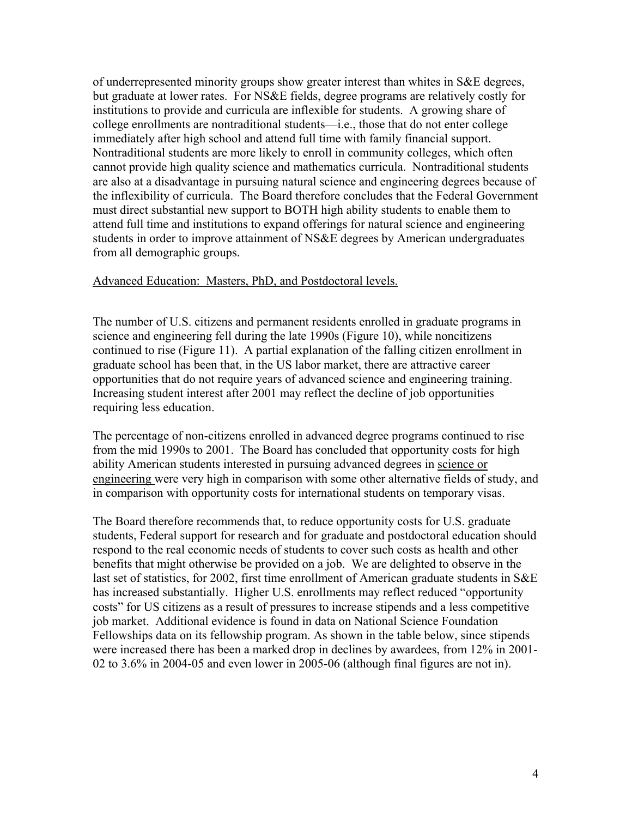of underrepresented minority groups show greater interest than whites in S&E degrees, but graduate at lower rates. For NS&E fields, degree programs are relatively costly for institutions to provide and curricula are inflexible for students. A growing share of college enrollments are nontraditional students—i.e., those that do not enter college immediately after high school and attend full time with family financial support. Nontraditional students are more likely to enroll in community colleges, which often cannot provide high quality science and mathematics curricula. Nontraditional students are also at a disadvantage in pursuing natural science and engineering degrees because of the inflexibility of curricula. The Board therefore concludes that the Federal Government must direct substantial new support to BOTH high ability students to enable them to attend full time and institutions to expand offerings for natural science and engineering students in order to improve attainment of NS&E degrees by American undergraduates from all demographic groups.

## Advanced Education: Masters, PhD, and Postdoctoral levels.

The number of U.S. citizens and permanent residents enrolled in graduate programs in science and engineering fell during the late 1990s (Figure 10), while noncitizens continued to rise (Figure 11). A partial explanation of the falling citizen enrollment in graduate school has been that, in the US labor market, there are attractive career opportunities that do not require years of advanced science and engineering training. Increasing student interest after 2001 may reflect the decline of job opportunities requiring less education.

The percentage of non-citizens enrolled in advanced degree programs continued to rise from the mid 1990s to 2001. The Board has concluded that opportunity costs for high ability American students interested in pursuing advanced degrees in science or engineering were very high in comparison with some other alternative fields of study, and in comparison with opportunity costs for international students on temporary visas.

The Board therefore recommends that, to reduce opportunity costs for U.S. graduate students, Federal support for research and for graduate and postdoctoral education should respond to the real economic needs of students to cover such costs as health and other benefits that might otherwise be provided on a job. We are delighted to observe in the last set of statistics, for 2002, first time enrollment of American graduate students in S&E has increased substantially. Higher U.S. enrollments may reflect reduced "opportunity costs" for US citizens as a result of pressures to increase stipends and a less competitive job market. Additional evidence is found in data on National Science Foundation Fellowships data on its fellowship program. As shown in the table below, since stipends were increased there has been a marked drop in declines by awardees, from 12% in 2001- 02 to 3.6% in 2004-05 and even lower in 2005-06 (although final figures are not in).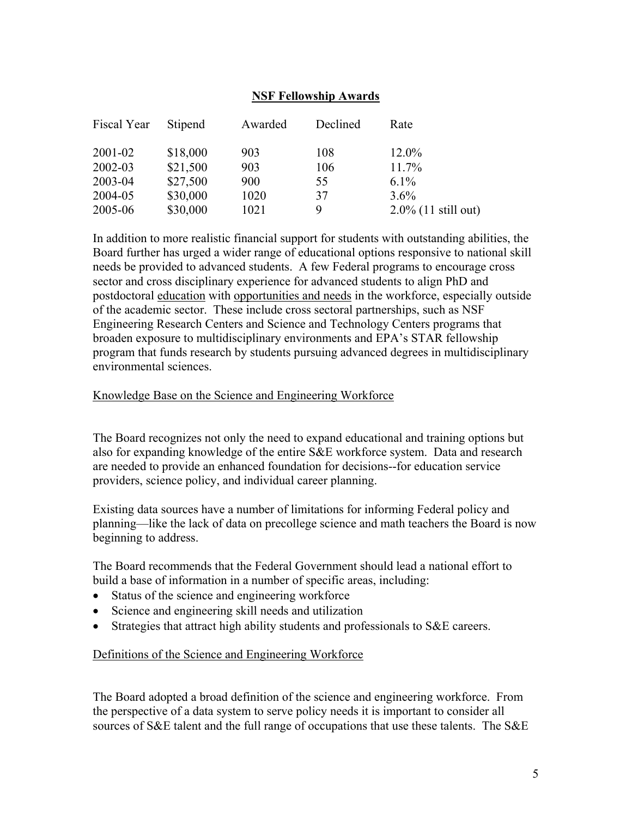### **NSF Fellowship Awards**

| Fiscal Year | Stipend  | Awarded | Declined | Rate                   |
|-------------|----------|---------|----------|------------------------|
| 2001-02     | \$18,000 | 903     | 108      | 12.0%                  |
| 2002-03     | \$21,500 | 903     | 106      | $11.7\%$               |
| 2003-04     | \$27,500 | 900     | 55       | $6.1\%$                |
| 2004-05     | \$30,000 | 1020    | 37       | $3.6\%$                |
| 2005-06     | \$30,000 | 1021    | 9        | $2.0\%$ (11 still out) |

In addition to more realistic financial support for students with outstanding abilities, the Board further has urged a wider range of educational options responsive to national skill needs be provided to advanced students. A few Federal programs to encourage cross sector and cross disciplinary experience for advanced students to align PhD and postdoctoral education with opportunities and needs in the workforce, especially outside of the academic sector. These include cross sectoral partnerships, such as NSF Engineering Research Centers and Science and Technology Centers programs that broaden exposure to multidisciplinary environments and EPA's STAR fellowship program that funds research by students pursuing advanced degrees in multidisciplinary environmental sciences.

#### Knowledge Base on the Science and Engineering Workforce

The Board recognizes not only the need to expand educational and training options but also for expanding knowledge of the entire S&E workforce system. Data and research are needed to provide an enhanced foundation for decisions--for education service providers, science policy, and individual career planning.

Existing data sources have a number of limitations for informing Federal policy and planning—like the lack of data on precollege science and math teachers the Board is now beginning to address.

The Board recommends that the Federal Government should lead a national effort to build a base of information in a number of specific areas, including:

- Status of the science and engineering workforce
- Science and engineering skill needs and utilization
- Strategies that attract high ability students and professionals to S&E careers.

#### Definitions of the Science and Engineering Workforce

The Board adopted a broad definition of the science and engineering workforce. From the perspective of a data system to serve policy needs it is important to consider all sources of S&E talent and the full range of occupations that use these talents. The S&E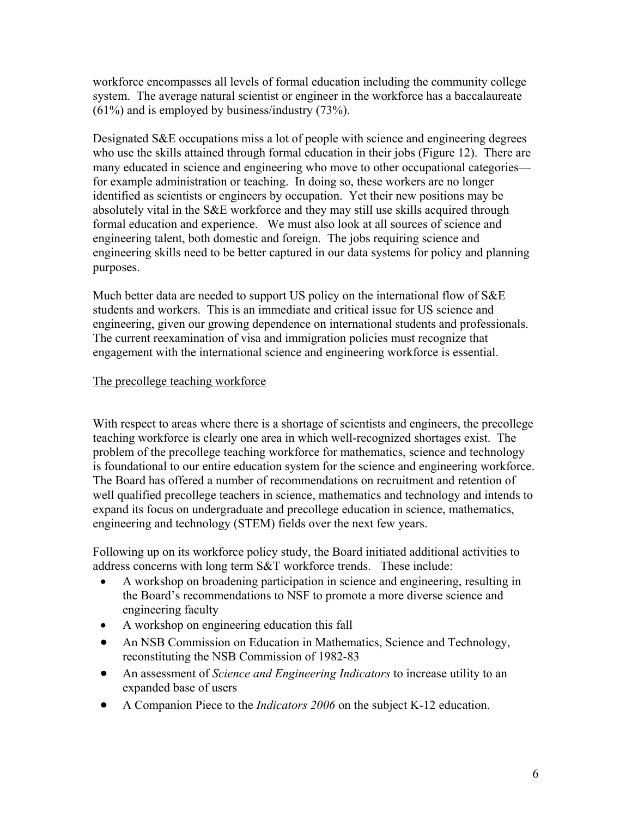workforce encompasses all levels of formal education including the community college system. The average natural scientist or engineer in the workforce has a baccalaureate (61%) and is employed by business/industry (73%).

Designated S&E occupations miss a lot of people with science and engineering degrees who use the skills attained through formal education in their jobs (Figure 12). There are many educated in science and engineering who move to other occupational categories for example administration or teaching. In doing so, these workers are no longer identified as scientists or engineers by occupation. Yet their new positions may be absolutely vital in the S&E workforce and they may still use skills acquired through formal education and experience. We must also look at all sources of science and engineering talent, both domestic and foreign. The jobs requiring science and engineering skills need to be better captured in our data systems for policy and planning purposes.

Much better data are needed to support US policy on the international flow of S&E students and workers. This is an immediate and critical issue for US science and engineering, given our growing dependence on international students and professionals. The current reexamination of visa and immigration policies must recognize that engagement with the international science and engineering workforce is essential.

## The precollege teaching workforce

With respect to areas where there is a shortage of scientists and engineers, the precollege teaching workforce is clearly one area in which well-recognized shortages exist. The problem of the precollege teaching workforce for mathematics, science and technology is foundational to our entire education system for the science and engineering workforce. The Board has offered a number of recommendations on recruitment and retention of well qualified precollege teachers in science, mathematics and technology and intends to expand its focus on undergraduate and precollege education in science, mathematics, engineering and technology (STEM) fields over the next few years.

Following up on its workforce policy study, the Board initiated additional activities to address concerns with long term S&T workforce trends. These include:

- A workshop on broadening participation in science and engineering, resulting in the Board's recommendations to NSF to promote a more diverse science and engineering faculty
- A workshop on engineering education this fall
- An NSB Commission on Education in Mathematics, Science and Technology, reconstituting the NSB Commission of 1982-83
- An assessment of *Science and Engineering Indicators* to increase utility to an expanded base of users
- A Companion Piece to the *Indicators 2006* on the subject K-12 education.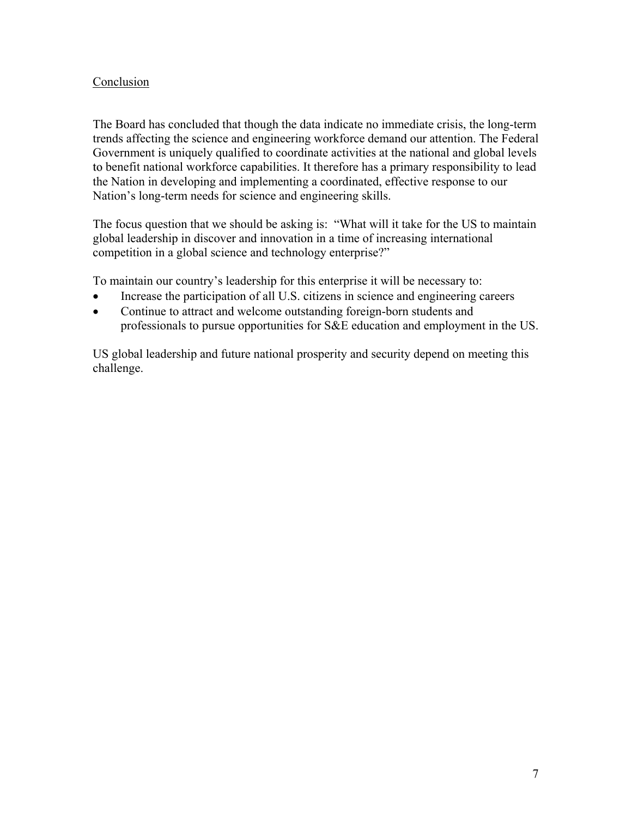## Conclusion

The Board has concluded that though the data indicate no immediate crisis, the long-term trends affecting the science and engineering workforce demand our attention. The Federal Government is uniquely qualified to coordinate activities at the national and global levels to benefit national workforce capabilities. It therefore has a primary responsibility to lead the Nation in developing and implementing a coordinated, effective response to our Nation's long-term needs for science and engineering skills.

The focus question that we should be asking is: "What will it take for the US to maintain global leadership in discover and innovation in a time of increasing international competition in a global science and technology enterprise?"

To maintain our country's leadership for this enterprise it will be necessary to:

- Increase the participation of all U.S. citizens in science and engineering careers
- Continue to attract and welcome outstanding foreign-born students and professionals to pursue opportunities for S&E education and employment in the US.

US global leadership and future national prosperity and security depend on meeting this challenge.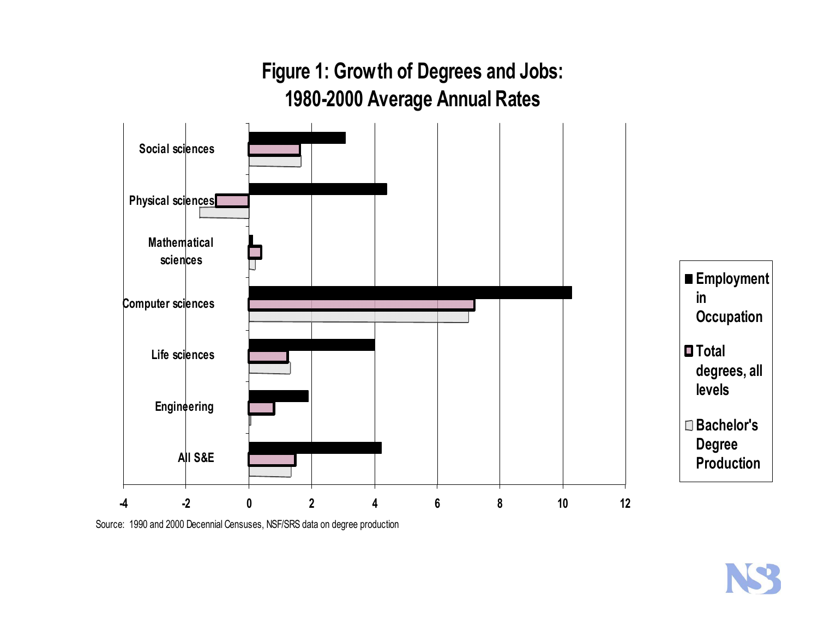**Figure 1: Growth of Degrees and Jobs: 1980-2000 Average Annual Rates**



Source: 1990 and 2000 Decennial Censuses, NSF/SRS data on degree production

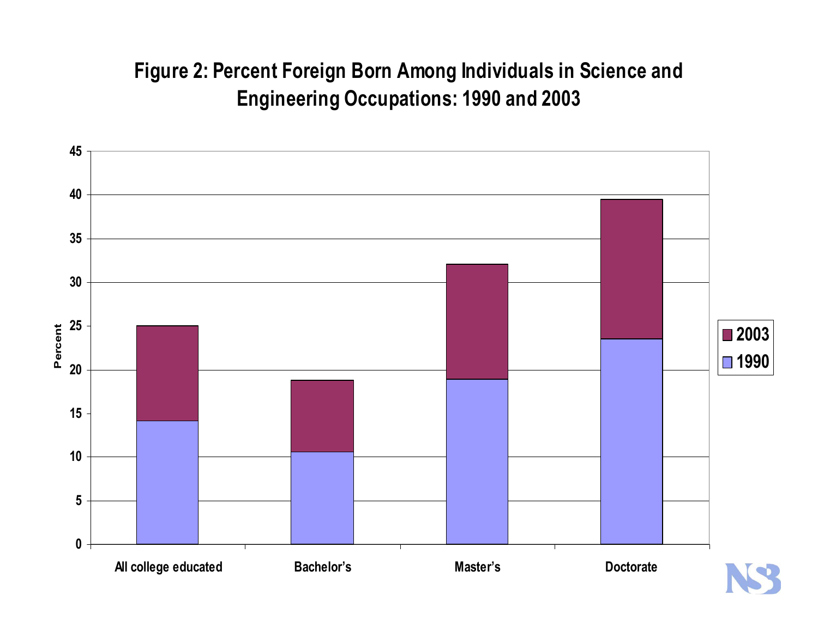## **Figure 2: Percent Foreign Born Among Individuals in Science and Engineering Occupations: 1990 and 2003**

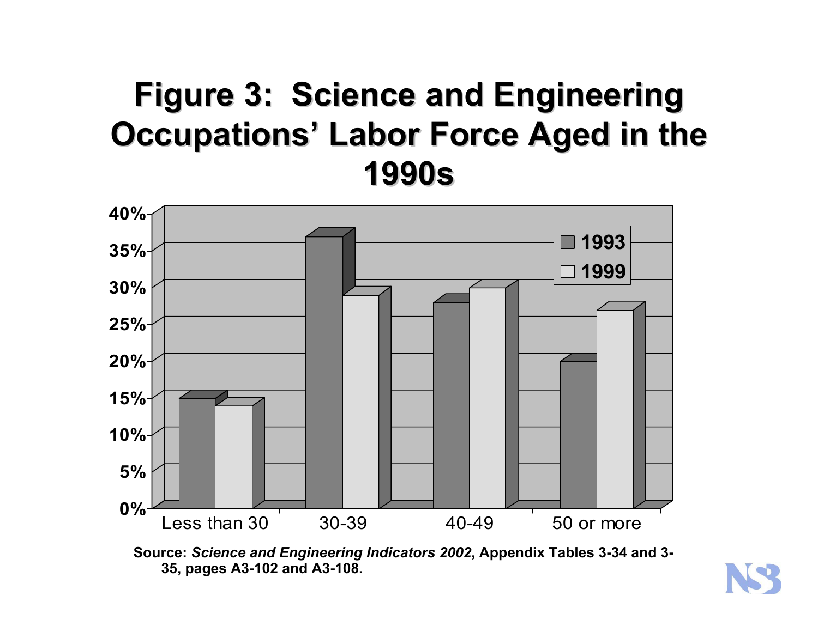# **Figure 3: Science and Engineering Figure 3: Science and Engineering Occupations' Labor Force Aged in the 1990s**



**Source:** *Science and Engineering Indicators 2002***, Appendix Tables 3-34 and 3- 35, pages A3-102 and A3-108.**

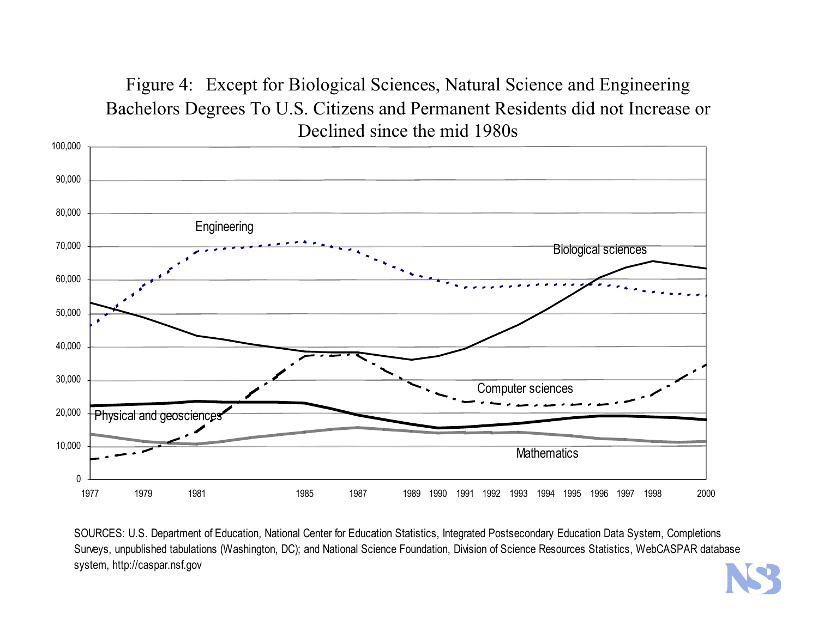## Figure 4: Except for Biological Sciences, Natural Science and Engineering Bachelors Degrees To U.S. Citizens and Permanent Residents did not Increase or Declined since the mid 1980s



SOURCES: U.S. Department of Education, National Center for Education Statistics, Integrated Postsecondary Education Data System, Completions Surveys, unpublished tabulations (Washington, DC); and National Science Foundation, Division of Science Resources Statistics, WebCASPAR database system, http://caspar.nsf.gov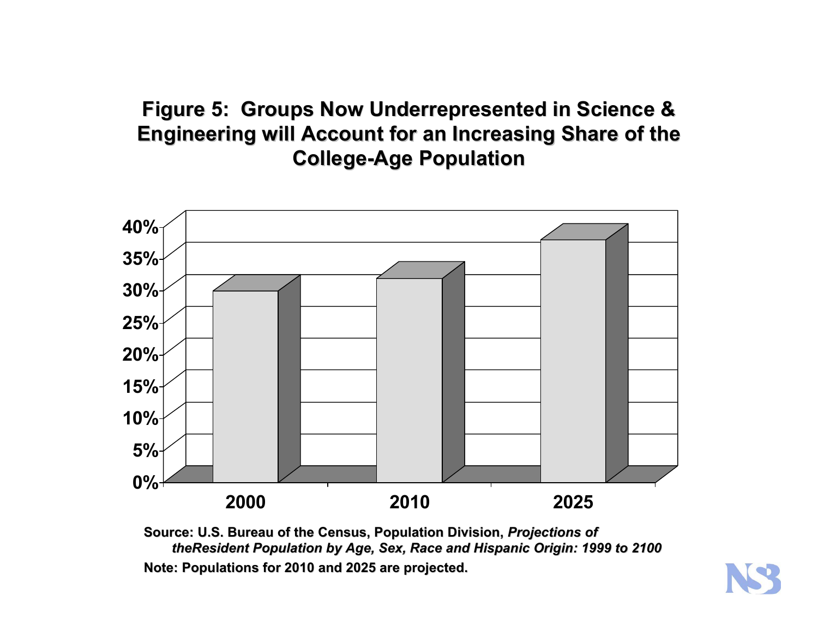## **Figure 5: Groups Now Underrepresented in Science & Engineering will Account for an Increasing Share of the College College-Age Population Age Population**



**Source: U.S. Bure S. Bureau of the au of the Census, Population Division, Census, Population Division,** *Projections of Projections of theResident Population by Age, Sex, Population by Age, Sex, Race and Hispanic Origin: 1999 to 2100 nd Hispanic Origin: 1999 to 2100* Note: Populations for 2010 and 2025 are projected.

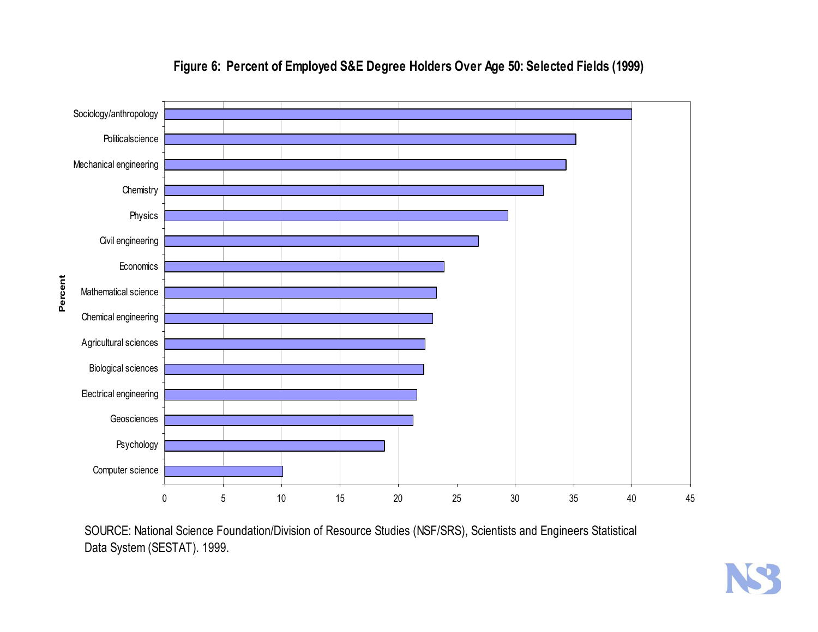

## **Figure 6: Percent of Employed S&E Degree Holders Over Age 50: Selected Fields (1999)**

SOURCE: National Science Foundation/Division of Resource Studies (NSF/SRS), Scientists and Engineers Statistical Data System (SESTAT). 1999.

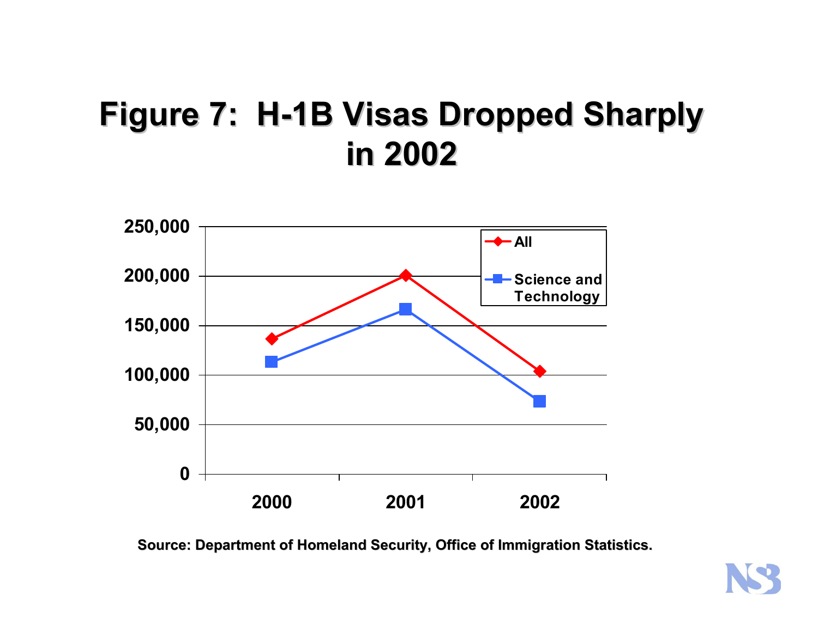# **Figure 7: H-1B Visas Dropped Sharply in 2002 in 2002**



**Source: Department of Homeland Security, Office of Immigration Statistics.** 

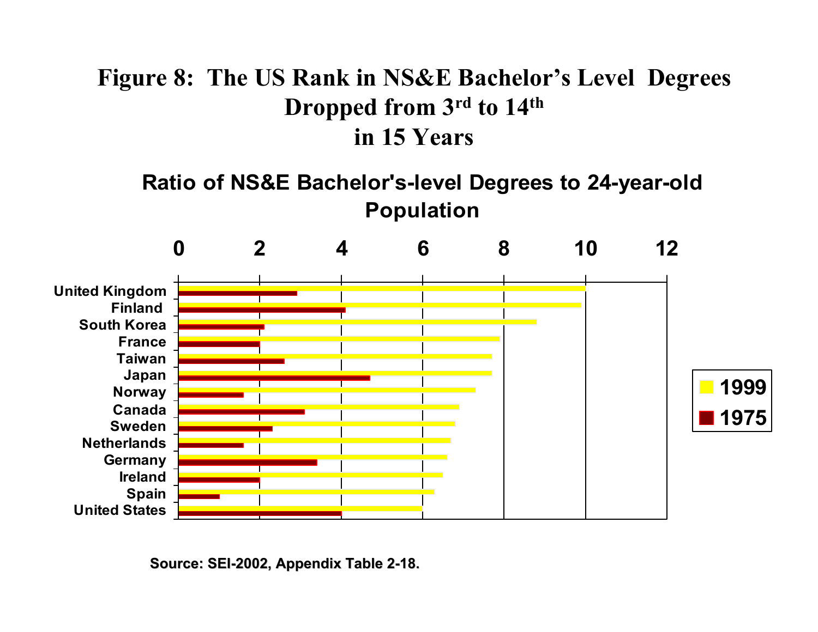## **Figure 8: The US Rank in NS&E Bachelor's Level Degrees Dropped from 3rd to 14th in 15 Years**

**Ratio o f NS&E Bachel o r's -level Deg rees t o 24- year-old Popula tion**



**Source: SEI Source: SEI-2002, Appendix Table 2 2002, Appendix Table 2-18.**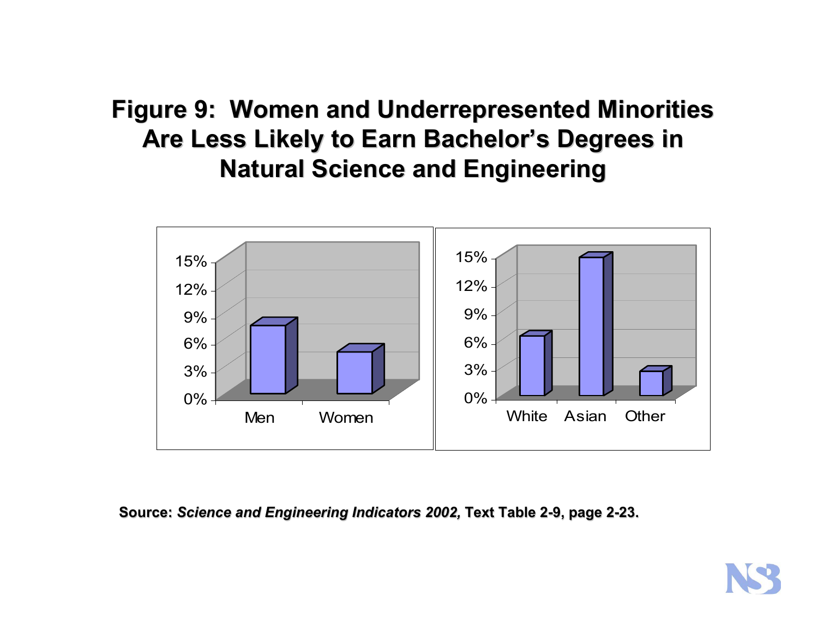## **Figure 9: Women and Underrepresented Minorities** Are Less Likely to Earn Bachelor's Degrees in **Natural Science and Engineering Natural Science and Engineering**



**Source: Source:** *Science and Engineer Science and Engineering Indicators 2002, ing Indicators 2002,* **Text Table 2-9, page 2-23.**

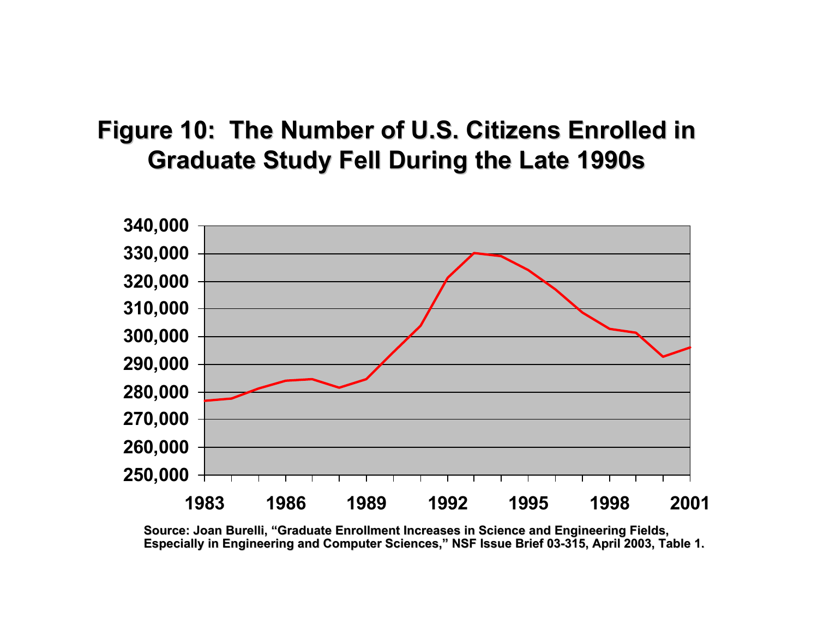## Figure 10: The Number of U.S. Citizens Enrolled in **Graduate Study Fell During the Late 1990s Graduate Study Fell During the Late 1990s**



**Source: Joan Burelli Burelli, "Graduate Enrollment Increases in Graduate Enrollment Increases in Sci ence and Engi nce and Engineering Fiel neering Fields,** Especially in Engineering and Computer Sciences," NSF Issue Brief 03-315, April 2003, Table 1.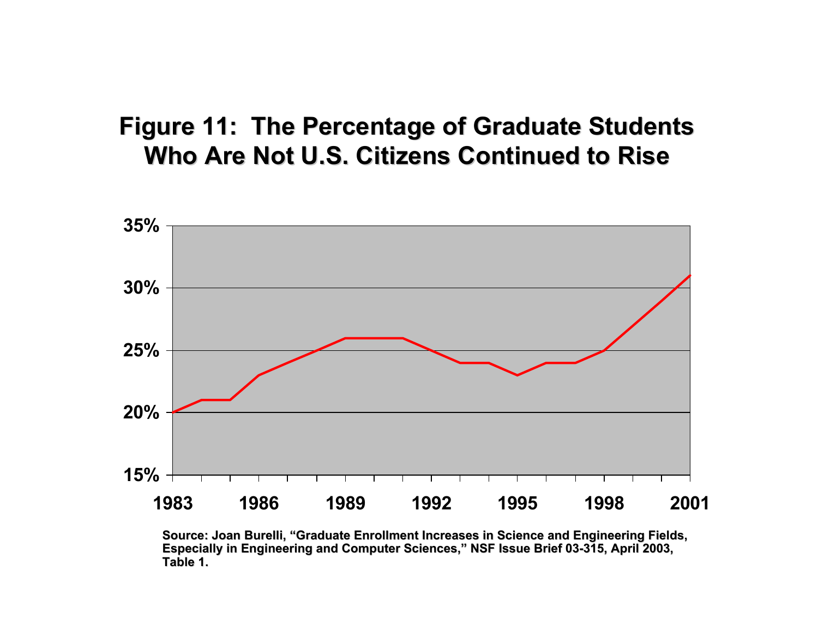## **Figure 11: The Percentage of Graduate Students Figure 11: The Percentage of Graduate Students Who Are Not U.S. Citizens Continued to Rise Who Are Not U.S. Citizens Continued to Rise**



**Source: Joan Burelli Burelli, "Graduate Enrollment Increases in Graduate Enrollment Increases in Sci ence and Engi nce and Engineering Fiel neering Fields, Especially in Engineering and Computer Sciences," NSF Issue Brief 03-315, April 2003, Table 1.**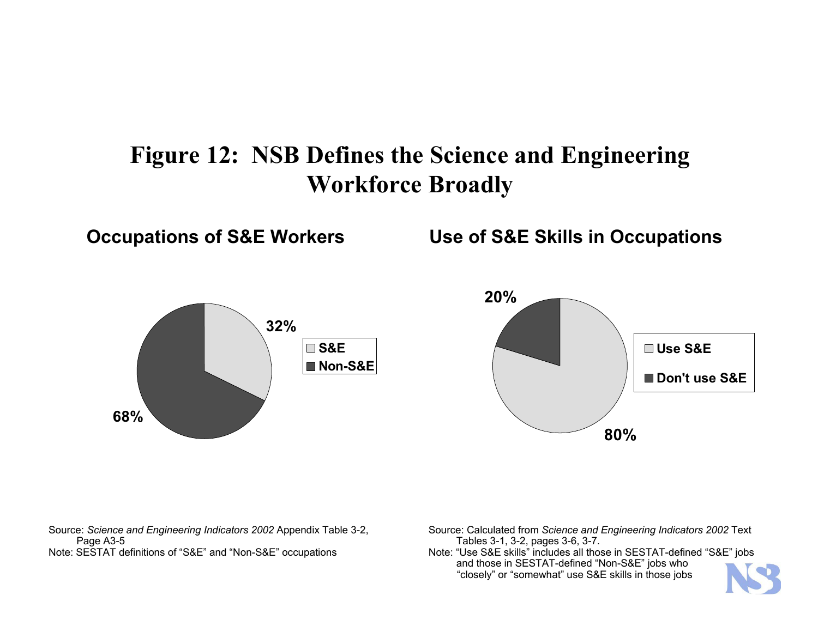## **Figure 12: NSB Defines the Science and Engineering Workforce Broadly**



**Occupations of S&E Workers Use of S&E Skills in Occupations**



Sourc e: *Science and Engineering Indicators 200 2* Appen dix Table 3-2, Page A3-5 Note: SESTAT definitions of "S&E" and "Non-S&E" occupations

S ource: Cal culat e d from *Science and Engineering In dicators 2002* Text Tables 3-1, 3-2, pages 3-6, 3-7.

Note: "Use S&E skills" includes all those in SESTAT-defined "S&E" jobs and those in SESTAT-defined " Non-S&E" jobs who "cl osely" or "somewhat" use S &E skills in those jobs